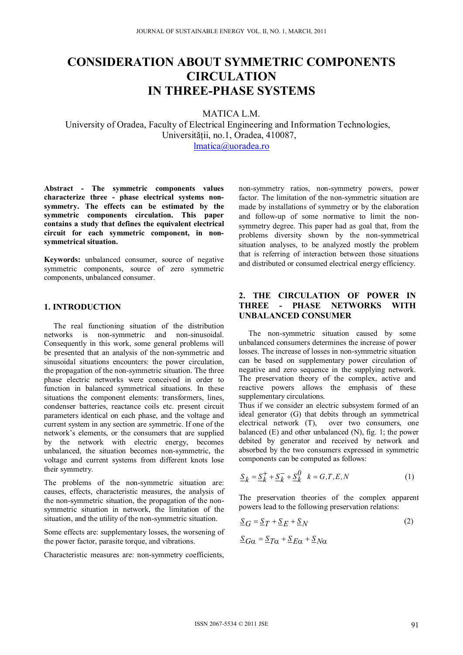# **CONSIDERATION ABOUT SYMMETRIC COMPONENTS CIRCULATION IN THREE-PHASE SYSTEMS**

MATICA L.M.

University of Oradea, Faculty of Electrical Engineering and Information Technologies, Universității, no.1, Oradea, 410087, lmatica@uoradea.ro

**Abstract - The symmetric components values characterize three - phase electrical systems nonsymmetry. The effects can be estimated by the symmetric components circulation. This paper contains a study that defines the equivalent electrical circuit for each symmetric component, in nonsymmetrical situation.** 

**Keywords:** unbalanced consumer, source of negative symmetric components, source of zero symmetric components, unbalanced consumer.

## **1. INTRODUCTION**

 The real functioning situation of the distribution networks is non-symmetric and non-sinusoidal. Consequently in this work, some general problems will be presented that an analysis of the non-symmetric and sinusoidal situations encounters: the power circulation, the propagation of the non-symmetric situation. The three phase electric networks were conceived in order to function in balanced symmetrical situations. In these situations the component elements: transformers, lines, condenser batteries, reactance coils etc. present circuit parameters identical on each phase, and the voltage and current system in any section are symmetric. If one of the network's elements, or the consumers that are supplied by the network with electric energy, becomes unbalanced, the situation becomes non-symmetric, the voltage and current systems from different knots lose their symmetry.

The problems of the non-symmetric situation are: causes, effects, characteristic measures, the analysis of the non-symmetric situation, the propagation of the nonsymmetric situation in network, the limitation of the situation, and the utility of the non-symmetric situation.

Some effects are: supplementary losses, the worsening of the power factor, parasite torque, and vibrations.

Characteristic measures are: non-symmetry coefficients,

non-symmetry ratios, non-symmetry powers, power factor. The limitation of the non-symmetric situation are made by installations of symmetry or by the elaboration and follow-up of some normative to limit the nonsymmetry degree. This paper had as goal that, from the problems diversity shown by the non-symmetrical situation analyses, to be analyzed mostly the problem that is referring of interaction between those situations and distributed or consumed electrical energy efficiency.

# **2. THE CIRCULATION OF POWER IN THREE - PHASE NETWORKS WITH UNBALANCED CONSUMER**

 The non-symmetric situation caused by some unbalanced consumers determines the increase of power losses. The increase of losses in non-symmetric situation can be based on supplementary power circulation of negative and zero sequence in the supplying network. The preservation theory of the complex, active and reactive powers allows the emphasis of these supplementary circulations.

Thus if we consider an electric subsystem formed of an ideal generator (G) that debits through an symmetrical<br>electrical network (T), over two consumers, one over two consumers, one balanced (E) and other unbalanced (N), fig. 1; the power debited by generator and received by network and absorbed by the two consumers expressed in symmetric components can be computed as follows:

$$
\underline{S}_k = \underline{S}_k^+ + \underline{S}_k^- + \underline{S}_k^0 \quad k = G, T, E, N \tag{1}
$$

The preservation theories of the complex apparent powers lead to the following preservation relations:

$$
\underline{S}_G = \underline{S}_T + \underline{S}_E + \underline{S}_N
$$
 (2)

$$
\underline{S}_{G\alpha} = \underline{S}_{T\alpha} + \underline{S}_{E\alpha} + \underline{S}_{N\alpha}
$$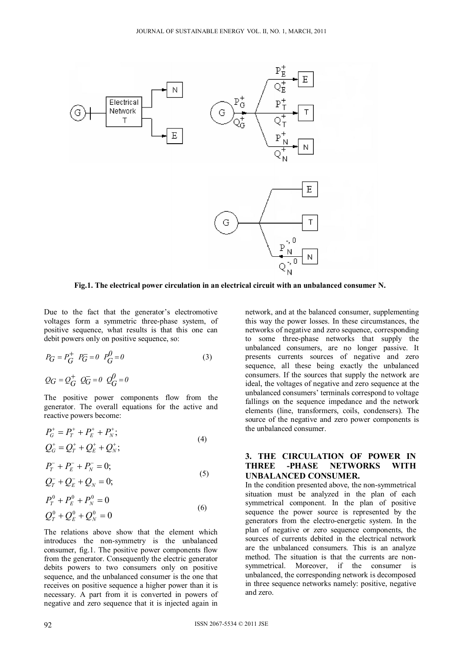

 **Fig.1. The electrical power circulation in an electrical circuit with an unbalanced consumer N.** 

Due to the fact that the generator's electromotive voltages form a symmetric three-phase system, of positive sequence, what results is that this one can debit powers only on positive sequence, so:

$$
P_G = P_G^+ \quad P_G^- = 0 \quad P_G^0 = 0
$$
\n
$$
Q_G = Q_G^+ \quad Q_G^- = 0 \quad Q_G^0 = 0
$$
\n(3)

The positive power components flow from the generator. The overall equations for the active and reactive powers become:

$$
P_G^+ = P_T^+ + P_E^+ + P_N^+, \nQ_G^+ = Q_T^+ + Q_E^+ + Q_N^+,
$$
\n(4)

$$
P_T^- + P_E^- + P_N^- = 0;
$$
  
\n
$$
Q^- + Q^- + Q^- = 0.
$$
\n(5)

$$
Q_T^- + Q_E^- + Q_N = 0;
$$
  

$$
P^0 + P^0 + P^0 = 0
$$

$$
P_T^0 + P_E^0 + P_N^0 = 0
$$
  
\n
$$
Q_T^0 + Q_E^0 + Q_N^0 = 0
$$
\n(6)

The relations above show that the element which introduces the non-symmetry is the unbalanced consumer, fig.1. The positive power components flow from the generator. Consequently the electric generator debits powers to two consumers only on positive sequence, and the unbalanced consumer is the one that receives on positive sequence a higher power than it is necessary. A part from it is converted in powers of negative and zero sequence that it is injected again in

network, and at the balanced consumer, supplementing this way the power losses. In these circumstances, the networks of negative and zero sequence, corresponding to some three-phase networks that supply the unbalanced consumers, are no longer passive. It presents currents sources of negative and zero sequence, all these being exactly the unbalanced consumers. If the sources that supply the network are ideal, the voltages of negative and zero sequence at the unbalanced consumers' terminals correspond to voltage fallings on the sequence impedance and the network elements (line, transformers, coils, condensers). The source of the negative and zero power components is the unbalanced consumer.

## **3. THE CIRCULATION OF POWER IN THREE -PHASE NETWORKS WITH UNBALANCED CONSUMER.**

In the condition presented above, the non-symmetrical situation must be analyzed in the plan of each symmetrical component. In the plan of positive sequence the power source is represented by the generators from the electro-energetic system. In the plan of negative or zero sequence components, the sources of currents debited in the electrical network are the unbalanced consumers. This is an analyze method. The situation is that the currents are nonsymmetrical. Moreover, if the consumer is unbalanced, the corresponding network is decomposed in three sequence networks namely: positive, negative and zero.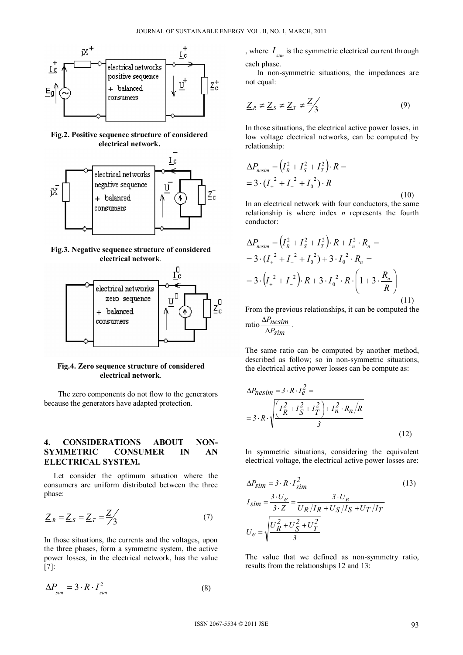

**Fig.2. Positive sequence structure of considered electrical network.** 



**Fig.3. Negative sequence structure of considered electrical network**.



#### **Fig.4. Zero sequence structure of considered electrical network**.

The zero components do not flow to the generators because the generators have adapted protection.

## **4. CONSIDERATIONS ABOUT NON-SYMMETRIC CONSUMER IN AN ELECTRICAL SYSTEM.**

 Let consider the optimum situation where the consumers are uniform distributed between the three phase:

$$
\underline{Z}_R = \underline{Z}_S = \underline{Z}_T = \frac{\underline{Z}}{3} \tag{7}
$$

In those situations, the currents and the voltages, upon the three phases, form a symmetric system, the active power losses, in the electrical network, has the value [7]:

$$
\Delta P_{\text{sim}} = 3 \cdot R \cdot I_{\text{sim}}^2 \tag{8}
$$

, where  $I_{sim}$  is the symmetric electrical current through each phase.

 In non-symmetric situations, the impedances are not equal:

$$
\underline{Z}_R \neq \underline{Z}_S \neq \underline{Z}_T \neq \frac{\underline{Z}}{3}
$$
 (9)

In those situations, the electrical active power losses, in low voltage electrical networks, can be computed by relationship:

$$
\Delta P_{\text{nesim}} = (I_R^2 + I_S^2 + I_T^2) \cdot R =
$$
  
= 3 \cdot (I\_+^2 + I\_-^2 + I\_0^2) \cdot R (10)

In an electrical network with four conductors, the same relationship is where index *n* represents the fourth conductor:

$$
\Delta P_{\text{nesim}} = (I_R^2 + I_S^2 + I_T^2) \cdot R + I_n^2 \cdot R_n =
$$
  
= 3 \cdot (I\_+^2 + I\_-^2 + I\_0^2) + 3 \cdot I\_0^2 \cdot R\_n =  
= 3 \cdot (I\_+^2 + I\_-^2) \cdot R + 3 \cdot I\_0^2 \cdot R \cdot \left(1 + 3 \cdot \frac{R\_n}{R}\right) (11)

From the previous relationships, it can be computed the ratio  $\frac{\Delta P_{\text{nesim}}}{\Delta P_{\text{ensim}}}.$ 

$$
10 \frac{7 \text{m} \cdot \text{m}}{\Delta P_{\text{sim}}}
$$

J.

The same ratio can be computed by another method, described as follow; so in non-symmetric situations, the electrical active power losses can be compute as:

$$
\Delta P_{\text{Resim}} = 3 \cdot R \cdot I_e^2 =
$$
  
= 3 \cdot R \cdot \sqrt{\frac{I\_R^2 + I\_S^2 + I\_T^2 + I\_n^2 \cdot R\_n}{3} + \frac{I\_R^2 \cdot R\_n}{2}} (12)

In symmetric situations, considering the equivalent electrical voltage, the electrical active power losses are:

$$
\Delta P_{sim} = 3 \cdot R \cdot I_{sim}^{2}
$$
\n
$$
I_{sim} = \frac{3 \cdot U_{e}}{3 \cdot Z} = \frac{3 \cdot U_{e}}{U_{R}/I_{R} + U_{S}/I_{S} + U_{T}/I_{T}}
$$
\n
$$
U_{e} = \sqrt{\frac{U_{R}^{2} + U_{S}^{2} + U_{T}^{2}}{3}}
$$
\n(13)

The value that we defined as non-symmetry ratio, results from the relationships 12 and 13: